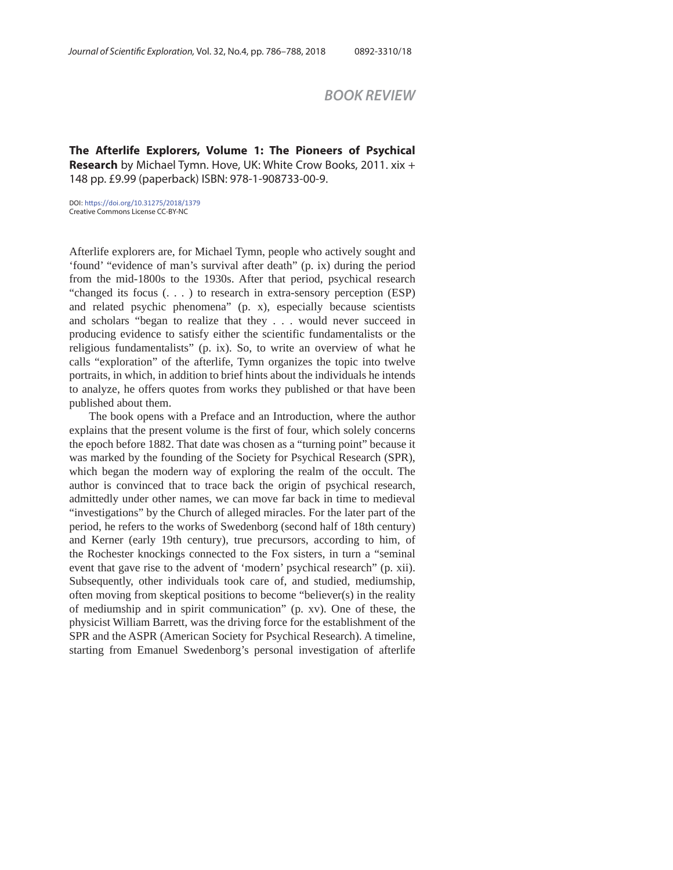## *BOOK REVIEW*

**The Afterlife Explorers, Volume 1: The Pioneers of Psychical Research** by Michael Tymn. Hove, UK: White Crow Books, 2011. xix + 148 pp. £9.99 (paperback) ISBN: 978-1-908733-00-9.

DOI: https://doi.org/10.31275/2018/1379 Creative Commons License CC-BY-NC

Afterlife explorers are, for Michael Tymn, people who actively sought and 'found' "evidence of man's survival after death" (p. ix) during the period from the mid-1800s to the 1930s. After that period, psychical research "changed its focus (. . . ) to research in extra-sensory perception (ESP) and related psychic phenomena" (p. x), especially because scientists and scholars "began to realize that they . . . would never succeed in producing evidence to satisfy either the scientific fundamentalists or the religious fundamentalists" (p. ix). So, to write an overview of what he calls "exploration" of the afterlife, Tymn organizes the topic into twelve portraits, in which, in addition to brief hints about the individuals he intends to analyze, he offers quotes from works they published or that have been published about them.

The book opens with a Preface and an Introduction, where the author explains that the present volume is the first of four, which solely concerns the epoch before 1882. That date was chosen as a "turning point" because it was marked by the founding of the Society for Psychical Research (SPR), which began the modern way of exploring the realm of the occult. The author is convinced that to trace back the origin of psychical research, admittedly under other names, we can move far back in time to medieval "investigations" by the Church of alleged miracles. For the later part of the period, he refers to the works of Swedenborg (second half of 18th century) and Kerner (early 19th century), true precursors, according to him, of the Rochester knockings connected to the Fox sisters, in turn a "seminal event that gave rise to the advent of 'modern' psychical research" (p. xii). Subsequently, other individuals took care of, and studied, mediumship, often moving from skeptical positions to become "believer(s) in the reality of mediumship and in spirit communication" (p. xv). One of these, the physicist William Barrett, was the driving force for the establishment of the SPR and the ASPR (American Society for Psychical Research). A timeline, starting from Emanuel Swedenborg's personal investigation of afterlife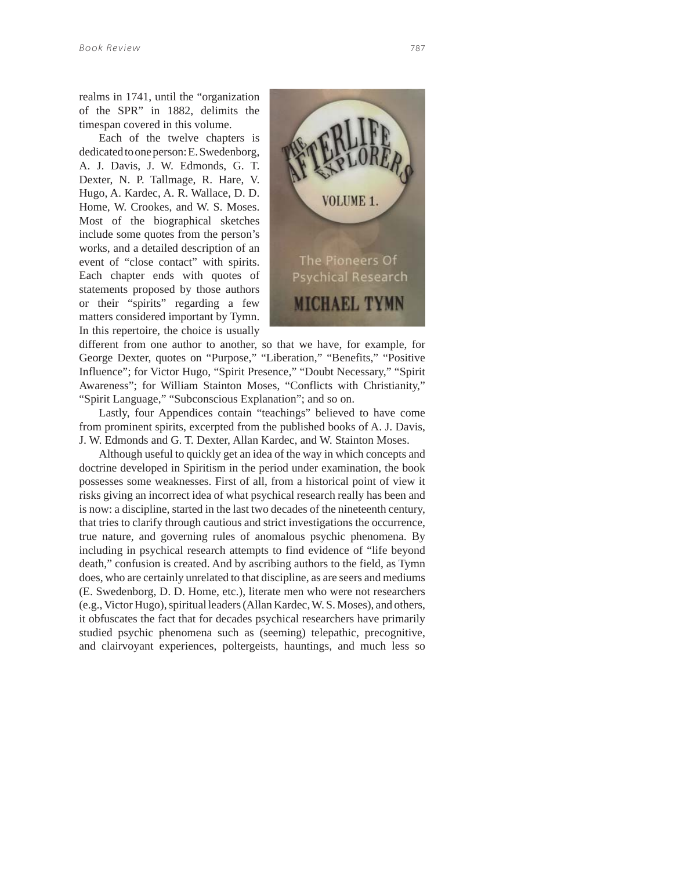realms in 1741, until the "organization of the SPR" in 1882, delimits the timespan covered in this volume.

Each of the twelve chapters is dedicated to one person: E. Swedenborg, A. J. Davis, J. W. Edmonds, G. T. Dexter, N. P. Tallmage, R. Hare, V. Hugo, A. Kardec, A. R. Wallace, D. D. Home, W. Crookes, and W. S. Moses. Most of the biographical sketches include some quotes from the person's works, and a detailed description of an event of "close contact" with spirits. Each chapter ends with quotes of statements proposed by those authors or their "spirits" regarding a few matters considered important by Tymn. In this repertoire, the choice is usually



different from one author to another, so that we have, for example, for George Dexter, quotes on "Purpose," "Liberation," "Benefits," "Positive Influence"; for Victor Hugo, "Spirit Presence," "Doubt Necessary," "Spirit Awareness"; for William Stainton Moses, "Conflicts with Christianity," "Spirit Language," "Subconscious Explanation"; and so on.

Lastly, four Appendices contain "teachings" believed to have come from prominent spirits, excerpted from the published books of A. J. Davis, J. W. Edmonds and G. T. Dexter, Allan Kardec, and W. Stainton Moses.

Although useful to quickly get an idea of the way in which concepts and doctrine developed in Spiritism in the period under examination, the book possesses some weaknesses. First of all, from a historical point of view it risks giving an incorrect idea of what psychical research really has been and is now: a discipline, started in the last two decades of the nineteenth century, that tries to clarify through cautious and strict investigations the occurrence, true nature, and governing rules of anomalous psychic phenomena. By including in psychical research attempts to find evidence of "life beyond death," confusion is created. And by ascribing authors to the field, as Tymn does, who are certainly unrelated to that discipline, as are seers and mediums (E. Swedenborg, D. D. Home, etc.), literate men who were not researchers (e.g., Victor Hugo), spiritual leaders (Allan Kardec, W. S. Moses), and others, it obfuscates the fact that for decades psychical researchers have primarily studied psychic phenomena such as (seeming) telepathic, precognitive, and clairvoyant experiences, poltergeists, hauntings, and much less so